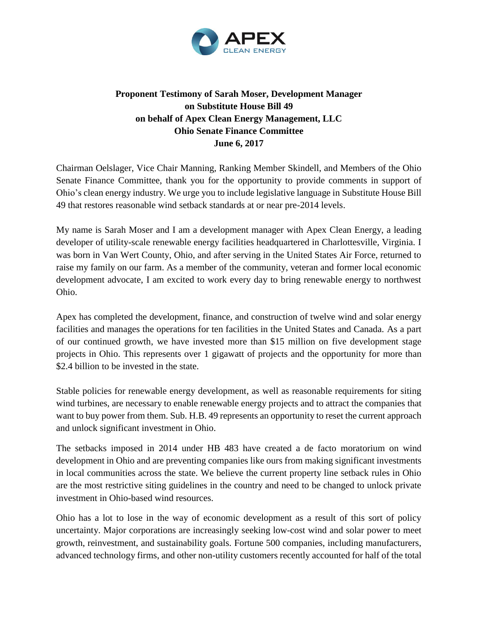

## **Proponent Testimony of Sarah Moser, Development Manager on Substitute House Bill 49 on behalf of Apex Clean Energy Management, LLC Ohio Senate Finance Committee June 6, 2017**

Chairman Oelslager, Vice Chair Manning, Ranking Member Skindell, and Members of the Ohio Senate Finance Committee, thank you for the opportunity to provide comments in support of Ohio's clean energy industry. We urge you to include legislative language in Substitute House Bill 49 that restores reasonable wind setback standards at or near pre-2014 levels.

My name is Sarah Moser and I am a development manager with Apex Clean Energy, a leading developer of utility-scale renewable energy facilities headquartered in Charlottesville, Virginia. I was born in Van Wert County, Ohio, and after serving in the United States Air Force, returned to raise my family on our farm. As a member of the community, veteran and former local economic development advocate, I am excited to work every day to bring renewable energy to northwest Ohio.

Apex has completed the development, finance, and construction of twelve wind and solar energy facilities and manages the operations for ten facilities in the United States and Canada. As a part of our continued growth, we have invested more than \$15 million on five development stage projects in Ohio. This represents over 1 gigawatt of projects and the opportunity for more than \$2.4 billion to be invested in the state.

Stable policies for renewable energy development, as well as reasonable requirements for siting wind turbines, are necessary to enable renewable energy projects and to attract the companies that want to buy power from them. Sub. H.B. 49 represents an opportunity to reset the current approach and unlock significant investment in Ohio.

The setbacks imposed in 2014 under HB 483 have created a de facto moratorium on wind development in Ohio and are preventing companies like ours from making significant investments in local communities across the state. We believe the current property line setback rules in Ohio are the most restrictive siting guidelines in the country and need to be changed to unlock private investment in Ohio-based wind resources.

Ohio has a lot to lose in the way of economic development as a result of this sort of policy uncertainty. Major corporations are increasingly seeking low-cost wind and solar power to meet growth, reinvestment, and sustainability goals. Fortune 500 companies, including manufacturers, advanced technology firms, and other non-utility customers recently accounted for half of the total